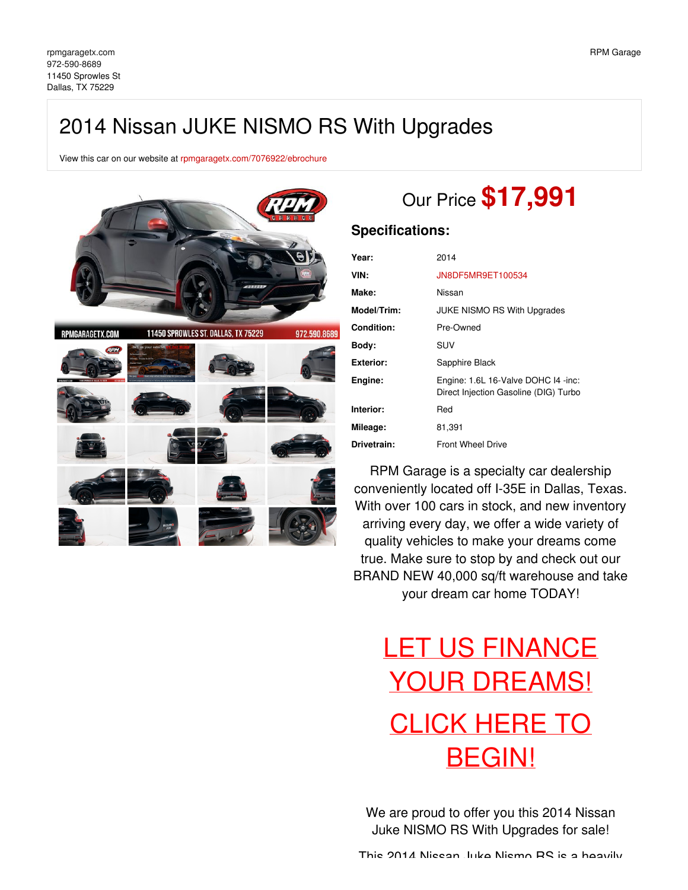## 2014 Nissan JUKE NISMO RS With Upgrades

View this car on our website at [rpmgaragetx.com/7076922/ebrochure](https://rpmgaragetx.com/vehicle/7076922/2014-nissan-juke-nismo-rs-with-upgrades-dallas-tx-75229/7076922/ebrochure)



# Our Price **\$17,991**

### **Specifications:**

| Year:            | 2014                                                                         |
|------------------|------------------------------------------------------------------------------|
| VIN:             | JN8DF5MR9ET100534                                                            |
| Make:            | Nissan                                                                       |
| Model/Trim:      | JUKE NISMO RS With Upgrades                                                  |
| Condition:       | Pre-Owned                                                                    |
| Body:            | SUV                                                                          |
| <b>Exterior:</b> | Sapphire Black                                                               |
| Engine:          | Engine: 1.6L 16-Valve DOHC 14 -inc:<br>Direct Injection Gasoline (DIG) Turbo |
| Interior:        | Red                                                                          |
| Mileage:         | 81,391                                                                       |
| Drivetrain:      | <b>Front Wheel Drive</b>                                                     |

RPM Garage is a specialty car dealership conveniently located off I-35E in Dallas, Texas. With over 100 cars in stock, and new inventory arriving every day, we offer a wide variety of quality vehicles to make your dreams come true. Make sure to stop by and check out our BRAND NEW 40,000 sq/ft warehouse and take your dream car home TODAY!

# LET US FINANCE YOUR [DREAMS!](https://rpmgaragetx.com/financing) CLICK HERE TO [BEGIN!](https://rpmgaragetx.com/financing)

We are proud to offer you this 2014 Nissan Juke NISMO RS With Upgrades for sale!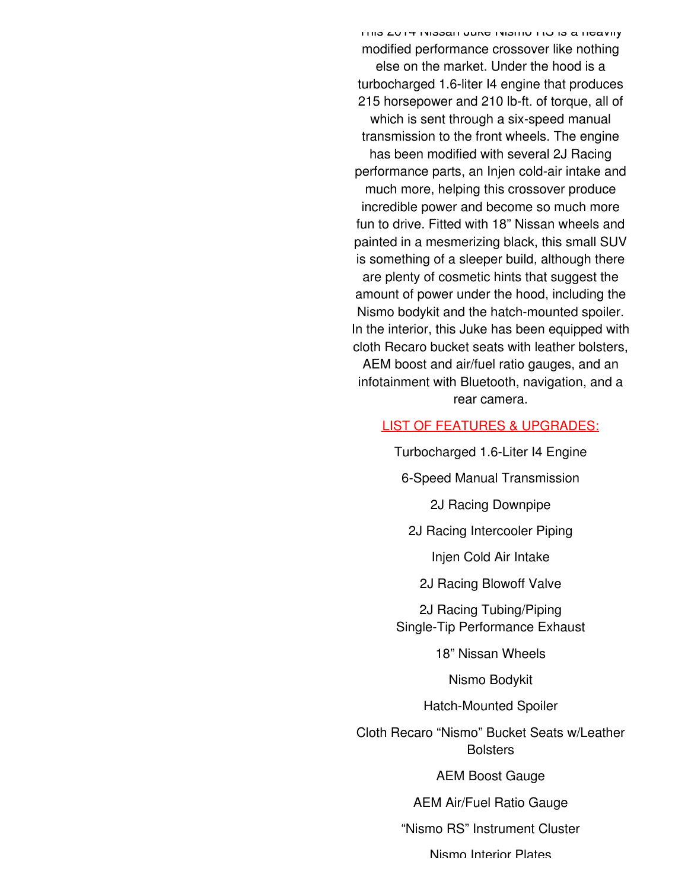This 2014 Nissan Juke Nismo RS is a heavily modified performance crossover like nothing else on the market. Under the hood is a turbocharged 1.6-liter I4 engine that produces 215 horsepower and 210 lb-ft. of torque, all of which is sent through a six-speed manual transmission to the front wheels. The engine has been modified with several 2J Racing performance parts, an Injen cold-air intake and much more, helping this crossover produce incredible power and become so much more fun to drive. Fitted with 18" Nissan wheels and painted in a mesmerizing black, this small SUV is something of a sleeper build, although there are plenty of cosmetic hints that suggest the amount of power under the hood, including the Nismo bodykit and the hatch-mounted spoiler. In the interior, this Juke has been equipped with cloth Recaro bucket seats with leather bolsters, AEM boost and air/fuel ratio gauges, and an infotainment with Bluetooth, navigation, and a rear camera.

#### LIST OF FEATURES & UPGRADES:

Turbocharged 1.6-Liter I4 Engine

6-Speed Manual Transmission

2J Racing Downpipe

2J Racing Intercooler Piping

Injen Cold Air Intake

2J Racing Blowoff Valve

2J Racing Tubing/Piping Single-Tip Performance Exhaust

18" Nissan Wheels

Nismo Bodykit

Hatch-Mounted Spoiler

Cloth Recaro "Nismo" Bucket Seats w/Leather **Bolsters** 

AEM Boost Gauge

AEM Air/Fuel Ratio Gauge

"Nismo RS" Instrument Cluster

Nismo Interior Plates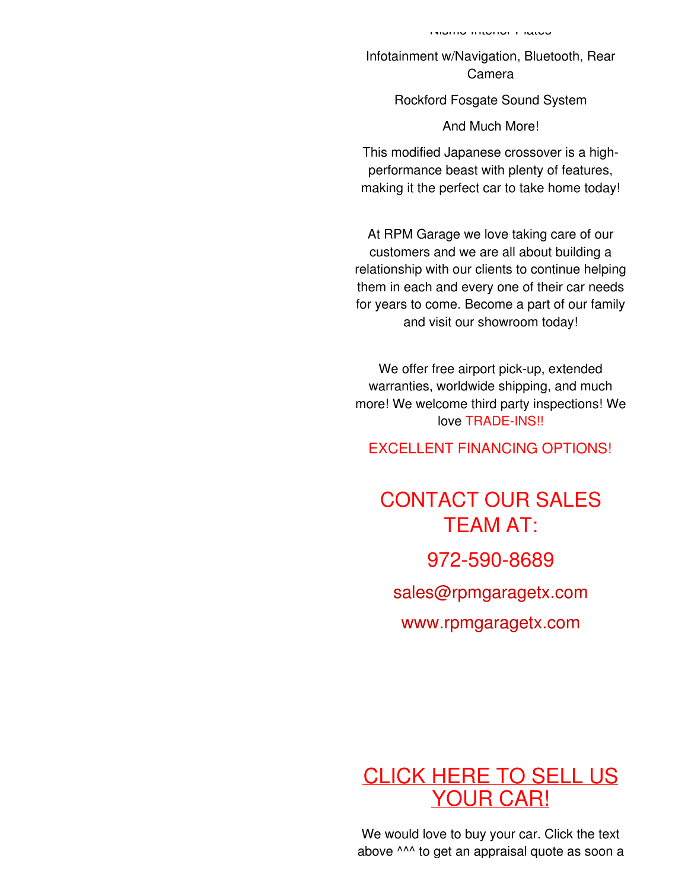Infotainment w/Navigation, Bluetooth, Rear Camera

### Rockford Fosgate Sound System

And Much More!

This modified Japanese crossover is a highperformance beast with plenty of features, making it the perfect car to take home today!

At RPM Garage we love taking care of our customers and we are all about building a relationship with our clients to continue helping them in each and every one of their car needs for years to come. Become a part of our family and visit our showroom today!

We offer free airport pick-up, extended warranties, worldwide shipping, and much more! We welcome third party inspections! We love TRADE-INS!!

EXCELLENT FINANCING OPTIONS!

# CONTACT OUR SALES TEAM AT: 972-590-8689 [sales@rpmgaragetx.com](mailto:sales@rpmgaragetx.com)

[www.rpmgaragetx.com](http://www.rpmgaragetx.com)

## [CLICK](https://rpmgaragetx.com/sell-us-your-car) HERE TO SELL US YOUR CAR!

We would love to buy your car. Click the text above ^^^ to get an appraisal quote as soon a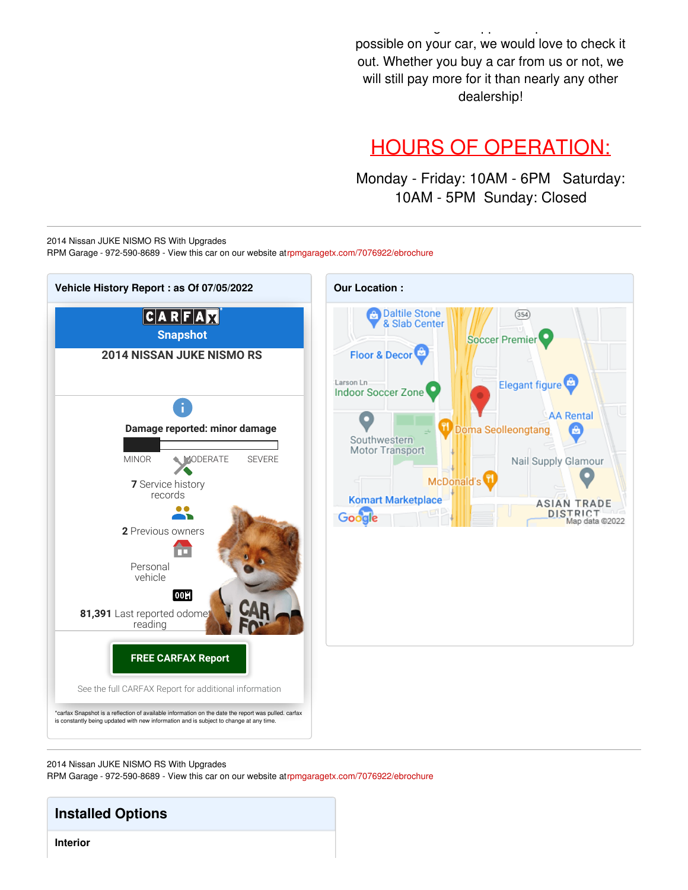possible on your car, we would love to check it out. Whether you buy a car from us or not, we will still pay more for it than nearly any other dealership!

above  $\mathcal{L}^{\mathcal{L}}$  to get an approximately denote as soon as soon as soon as soon as soon as soon as soon as

## HOURS OF OPERATION:

Monday - Friday: 10AM - 6PM Saturday: 10AM - 5PM Sunday: Closed

2014 Nissan JUKE NISMO RS With Upgrades RPM Garage - 972-590-8689 - View this car on our website a[trpmgaragetx.com/7076922/ebrochure](https://rpmgaragetx.com/vehicle/7076922/2014-nissan-juke-nismo-rs-with-upgrades-dallas-tx-75229/7076922/ebrochure)



2014 Nissan JUKE NISMO RS With Upgrades

RPM Garage - 972-590-8689 - View this car on our website a[trpmgaragetx.com/7076922/ebrochure](https://rpmgaragetx.com/vehicle/7076922/2014-nissan-juke-nismo-rs-with-upgrades-dallas-tx-75229/7076922/ebrochure)

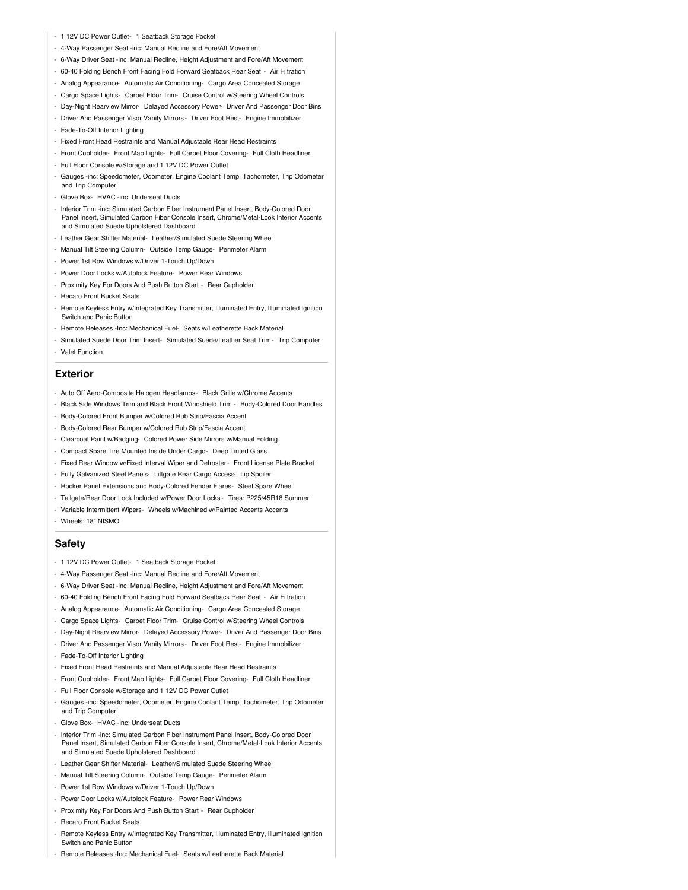- 1 12V DC Power Outlet- 1 Seatback Storage Pocket
- 4-Way Passenger Seat -inc: Manual Recline and Fore/Aft Movement
- 6-Way Driver Seat -inc: Manual Recline, Height Adjustment and Fore/Aft Movement
- 60-40 Folding Bench Front Facing Fold Forward Seatback Rear Seat Air Filtration
- Analog Appearance- Automatic Air Conditioning- Cargo Area Concealed Storage
- Cargo Space Lights- Carpet Floor Trim- Cruise Control w/Steering Wheel Controls
- Day-Night Rearview Mirror- Delayed Accessory Power- Driver And Passenger Door Bins
- Driver And Passenger Visor Vanity Mirrors Driver Foot Rest- Engine Immobilizer
- Fade-To-Off Interior Lighting
- Fixed Front Head Restraints and Manual Adjustable Rear Head Restraints
- Front Cupholder- Front Map Lights- Full Carpet Floor Covering- Full Cloth Headliner
- Full Floor Console w/Storage and 1 12V DC Power Outlet
- Gauges -inc: Speedometer, Odometer, Engine Coolant Temp, Tachometer, Trip Odometer and Trip Computer
- Glove Box- HVAC -inc: Underseat Ducts
- Interior Trim -inc: Simulated Carbon Fiber Instrument Panel Insert, Body-Colored Door Panel Insert, Simulated Carbon Fiber Console Insert, Chrome/Metal-Look Interior Accents and Simulated Suede Upholstered Dashboard
- Leather Gear Shifter Material- Leather/Simulated Suede Steering Wheel
- Manual Tilt Steering Column- Outside Temp Gauge- Perimeter Alarm
- Power 1st Row Windows w/Driver 1-Touch Up/Down
- Power Door Locks w/Autolock Feature- Power Rear Windows
- Proximity Key For Doors And Push Button Start Rear Cupholder
- Recaro Front Bucket Seats
- Remote Keyless Entry w/Integrated Key Transmitter, Illuminated Entry, Illuminated Ignition Switch and Panic Button
- Remote Releases -Inc: Mechanical Fuel- Seats w/Leatherette Back Material
- Simulated Suede Door Trim Insert- Simulated Suede/Leather Seat Trim- Trip Computer
- Valet Function

#### **Exterior**

- Auto Off Aero-Composite Halogen Headlamps- Black Grille w/Chrome Accents
- Black Side Windows Trim and Black Front Windshield Trim Body-Colored Door Handles
- Body-Colored Front Bumper w/Colored Rub Strip/Fascia Accent
- Body-Colored Rear Bumper w/Colored Rub Strip/Fascia Accent
- Clearcoat Paint w/Badging- Colored Power Side Mirrors w/Manual Folding
- Compact Spare Tire Mounted Inside Under Cargo- Deep Tinted Glass
- Fixed Rear Window w/Fixed Interval Wiper and Defroster- Front License Plate Bracket
- Fully Galvanized Steel Panels- Liftgate Rear Cargo Access- Lip Spoiler
- Rocker Panel Extensions and Body-Colored Fender Flares- Steel Spare Wheel
- Tailgate/Rear Door Lock Included w/Power Door Locks Tires: P225/45R18 Summer
- Variable Intermittent Wipers- Wheels w/Machined w/Painted Accents Accents
- Wheels: 18" NISMO

#### **Safety**

- 1 12V DC Power Outlet- 1 Seatback Storage Pocket
- 4-Way Passenger Seat -inc: Manual Recline and Fore/Aft Movement
- 6-Way Driver Seat -inc: Manual Recline, Height Adjustment and Fore/Aft Movement
- 60-40 Folding Bench Front Facing Fold Forward Seatback Rear Seat Air Filtration
- Analog Appearance- Automatic Air Conditioning- Cargo Area Concealed Storage
- Cargo Space Lights- Carpet Floor Trim- Cruise Control w/Steering Wheel Controls
- Day-Night Rearview Mirror- Delayed Accessory Power- Driver And Passenger Door Bins
- Driver And Passenger Visor Vanity Mirrors Driver Foot Rest- Engine Immobilizer
- Fade-To-Off Interior Lighting
- Fixed Front Head Restraints and Manual Adjustable Rear Head Restraints
- Front Cupholder- Front Map Lights- Full Carpet Floor Covering- Full Cloth Headliner
- Full Floor Console w/Storage and 1 12V DC Power Outlet
- Gauges -inc: Speedometer, Odometer, Engine Coolant Temp, Tachometer, Trip Odometer and Trip Computer
- Glove Box- HVAC -inc: Underseat Ducts
- Interior Trim -inc: Simulated Carbon Fiber Instrument Panel Insert, Body-Colored Door Panel Insert, Simulated Carbon Fiber Console Insert, Chrome/Metal-Look Interior Accents and Simulated Suede Upholstered Dashboard
- Leather Gear Shifter Material- Leather/Simulated Suede Steering Wheel
- Manual Tilt Steering Column- Outside Temp Gauge- Perimeter Alarm
- Power 1st Row Windows w/Driver 1-Touch Up/Down
- Power Door Locks w/Autolock Feature- Power Rear Windows
- Proximity Key For Doors And Push Button Start Rear Cupholder
- Recaro Front Bucket Seats
- Remote Keyless Entry w/Integrated Key Transmitter, Illuminated Entry, Illuminated Ignition Switch and Panic Button
- Remote Releases -Inc: Mechanical Fuel- Seats w/Leatherette Back Material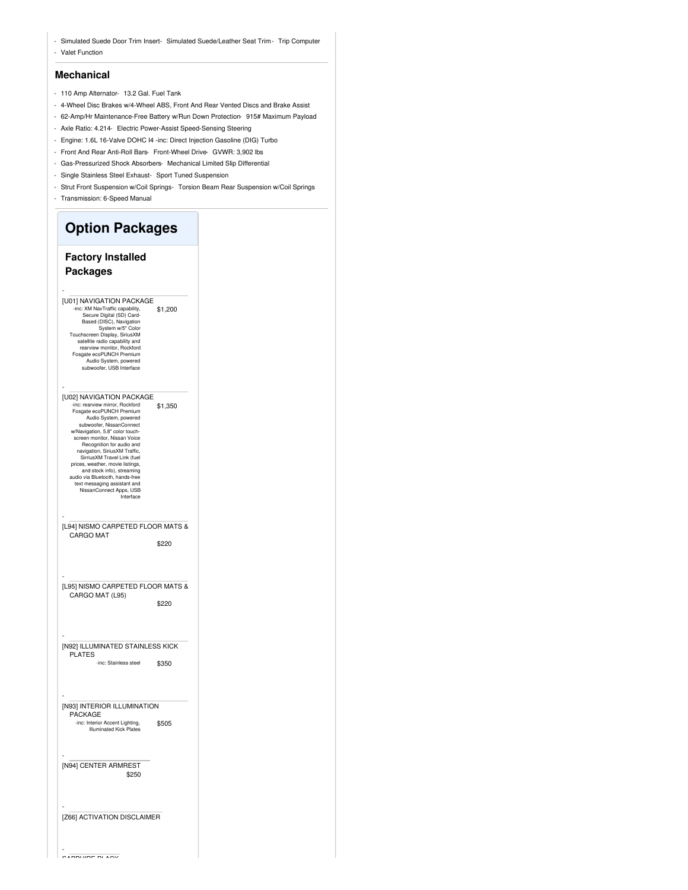- Simulated Suede Door Trim Insert- Simulated Suede/Leather Seat Trim- Trip Computer - Valet Function

#### **Mechanical**

- 110 Amp Alternator- 13.2 Gal. Fuel Tank
- 4-Wheel Disc Brakes w/4-Wheel ABS, Front And Rear Vented Discs and Brake Assist
- 62-Amp/Hr Maintenance-Free Battery w/Run Down Protection- 915# Maximum Payload
- Axle Ratio: 4.214- Electric Power-Assist Speed-Sensing Steering
- Engine: 1.6L 16-Valve DOHC I4 -inc: Direct Injection Gasoline (DIG) Turbo
- Front And Rear Anti-Roll Bars- Front-Wheel Drive- GVWR: 3,902 lbs
- Gas-Pressurized Shock Absorbers- Mechanical Limited Slip Differential
- Single Stainless Steel Exhaust- Sport Tuned Suspension
- Strut Front Suspension w/Coil Springs- Torsion Beam Rear Suspension w/Coil Springs
- Transmission: 6-Speed Manual

 $\overline{\phantom{a}}$ 

| <b>Option Packages</b>                                                                                                                                                                                                                                                                                                                                                                                                                                                                    |         |  |  |
|-------------------------------------------------------------------------------------------------------------------------------------------------------------------------------------------------------------------------------------------------------------------------------------------------------------------------------------------------------------------------------------------------------------------------------------------------------------------------------------------|---------|--|--|
| <b>Factory Installed</b><br><b>Packages</b>                                                                                                                                                                                                                                                                                                                                                                                                                                               |         |  |  |
| [U01] NAVIGATION PACKAGE<br>-inc: XM NavTraffic capability,<br>Secure Digital (SD) Card-<br>Based (DISC), Navigation<br>System w/5" Color<br>Touchscreen Display, SiriusXM<br>satellite radio capability and<br>rearview monitor. Rockford<br>Fosgate ecoPUNCH Premium<br>Audio System, powered<br>subwoofer, USB Interface                                                                                                                                                               | \$1,200 |  |  |
| [U02] NAVIGATION PACKAGE<br>-inc: rearview mirror, Rockford<br>Fosgate ecoPUNCH Premium<br>Audio System, powered<br>subwoofer, NissanConnect<br>w/Navigation, 5.8" color touch-<br>screen monitor, Nissan Voice<br>Recognition for audio and<br>navigation, SiriusXM Traffic,<br>SirriusXM Travel Link (fuel<br>prices, weather, movie listings,<br>and stock info), streaming<br>audio via Bluetooth, hands-free<br>text messaging assistant and<br>NissanConnect Apps, USB<br>Interface | \$1,350 |  |  |
| [L94] NISMO CARPETED FLOOR MATS &<br><b>CARGO MAT</b>                                                                                                                                                                                                                                                                                                                                                                                                                                     | \$220   |  |  |
| [L95] NISMO CARPETED FLOOR MATS &<br>CARGO MAT (L95)                                                                                                                                                                                                                                                                                                                                                                                                                                      | \$220   |  |  |
| [N92] ILLUMINATED STAINLESS KICK<br><b>PLATES</b><br>-inc: Stainless steel                                                                                                                                                                                                                                                                                                                                                                                                                | \$350   |  |  |
|                                                                                                                                                                                                                                                                                                                                                                                                                                                                                           |         |  |  |
| [N93] INTERIOR ILLUMINATION<br>PACKAGE<br>-inc: Interior Accent Lighting,<br><b>Illuminated Kick Plates</b>                                                                                                                                                                                                                                                                                                                                                                               | \$505   |  |  |
| [N94] CENTER ARMREST<br>\$250                                                                                                                                                                                                                                                                                                                                                                                                                                                             |         |  |  |
| [Z66] ACTIVATION DISCLAIMER                                                                                                                                                                                                                                                                                                                                                                                                                                                               |         |  |  |

 $\sim$